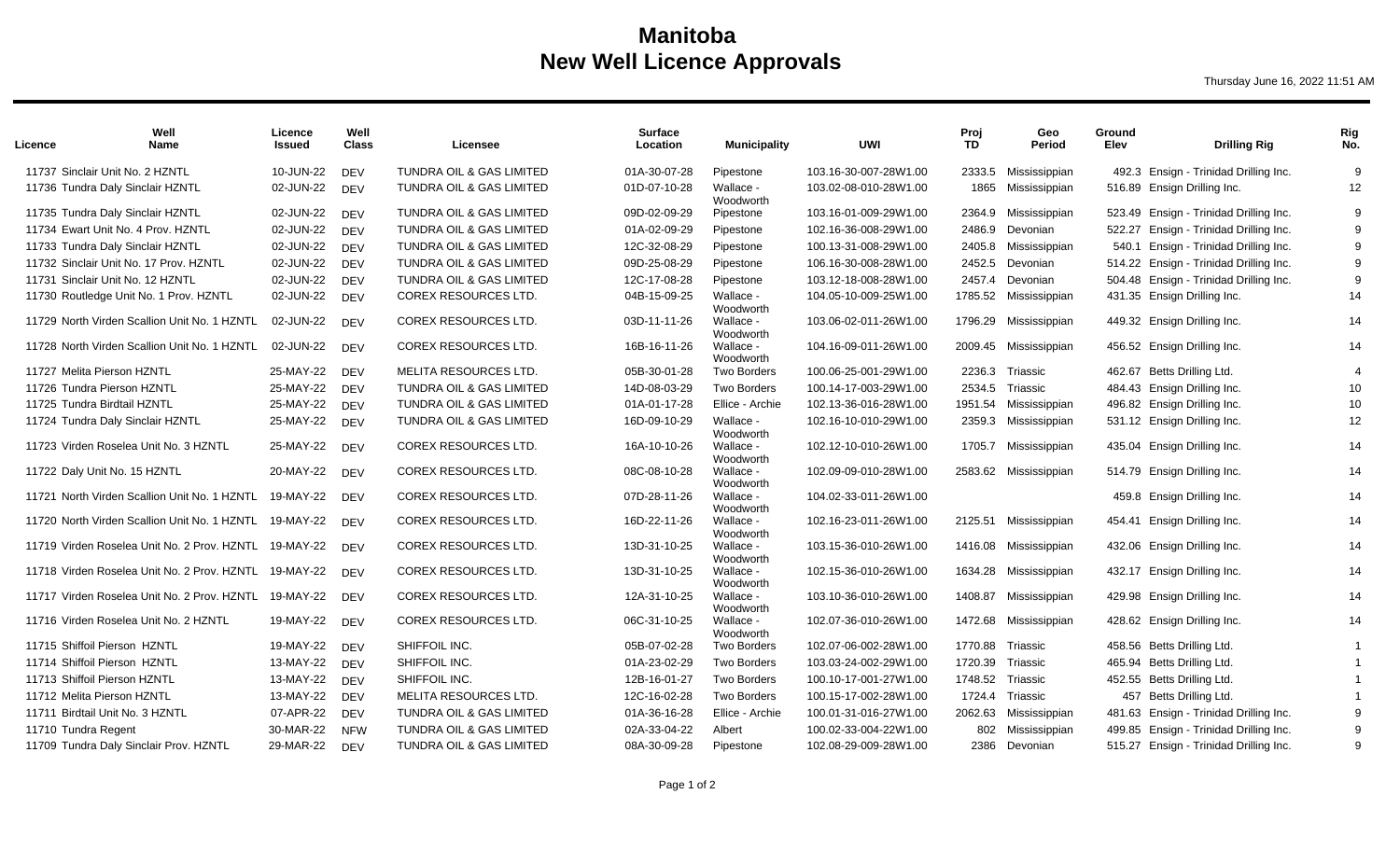## **Manitoba New Well Licence Approvals**

Thursday June 16, 2022 11:51 AM

| Licence                      | Well<br>Name                                           | Licence<br>Issued | Well<br><b>Class</b> | Licensee                            | <b>Surface</b><br>Location | <b>Municipality</b>    | UWI                   | Proi<br><b>TD</b> | Geo<br>Period         | Ground<br>Elev | <b>Drilling Rig</b>                    | Rig<br>No. |
|------------------------------|--------------------------------------------------------|-------------------|----------------------|-------------------------------------|----------------------------|------------------------|-----------------------|-------------------|-----------------------|----------------|----------------------------------------|------------|
|                              | 11737 Sinclair Unit No. 2 HZNTL                        | 10-JUN-22         | <b>DEV</b>           | <b>TUNDRA OIL &amp; GAS LIMITED</b> | 01A-30-07-28               | Pipestone              | 103.16-30-007-28W1.00 | 2333.5            | Mississippian         | 492.3          | Ensign - Trinidad Drilling Inc.        | 9          |
|                              | 11736 Tundra Daly Sinclair HZNTL                       | 02-JUN-22         | <b>DEV</b>           | TUNDRA OIL & GAS LIMITED            | 01D-07-10-28               | Wallace -<br>Woodworth | 103.02-08-010-28W1.00 | 1865              | Mississippian         |                | 516.89 Ensign Drilling Inc.            | 12         |
|                              | 11735 Tundra Daly Sinclair HZNTL                       | 02-JUN-22         | <b>DEV</b>           | TUNDRA OIL & GAS LIMITED            | 09D-02-09-29               | Pipestone              | 103.16-01-009-29W1.00 | 2364.9            | Mississippian         |                | 523.49 Ensign - Trinidad Drilling Inc. | 9          |
|                              | 11734 Ewart Unit No. 4 Prov. HZNTL                     | 02-JUN-22         | <b>DEV</b>           | <b>TUNDRA OIL &amp; GAS LIMITED</b> | 01A-02-09-29               | Pipestone              | 102.16-36-008-29W1.00 | 2486.9            | Devonian              |                | 522.27 Ensign - Trinidad Drilling Inc. | 9          |
|                              | 11733 Tundra Daly Sinclair HZNTL                       | 02-JUN-22         | <b>DEV</b>           | TUNDRA OIL & GAS LIMITED            | 12C-32-08-29               | Pipestone              | 100.13-31-008-29W1.00 | 2405.8            | Mississippian         | 540.1          | Ensign - Trinidad Drilling Inc.        | 9          |
|                              | 11732 Sinclair Unit No. 17 Prov. HZNTL                 | 02-JUN-22         | <b>DEV</b>           | TUNDRA OIL & GAS LIMITED            | 09D-25-08-29               | Pipestone              | 106.16-30-008-28W1.00 | 2452.5            | Devonian              |                | 514.22 Ensign - Trinidad Drilling Inc. | 9          |
|                              | 11731 Sinclair Unit No. 12 HZNTL                       | 02-JUN-22         | <b>DEV</b>           | TUNDRA OIL & GAS LIMITED            | 12C-17-08-28               | Pipestone              | 103.12-18-008-28W1.00 | 2457.4            | Devonian              |                | 504.48 Ensign - Trinidad Drilling Inc. | 9          |
|                              | 11730 Routledge Unit No. 1 Prov. HZNTL                 | 02-JUN-22         | <b>DEV</b>           | COREX RESOURCES LTD.                | 04B-15-09-25               | Wallace -<br>Woodworth | 104.05-10-009-25W1.00 | 1785.52           | Mississippian         |                | 431.35 Ensign Drilling Inc.            | 14         |
|                              | 11729 North Virden Scallion Unit No. 1 HZNTL           | 02-JUN-22         | <b>DEV</b>           | <b>COREX RESOURCES LTD.</b>         | 03D-11-11-26               | Wallace -<br>Woodworth | 103.06-02-011-26W1.00 | 1796.29           | Mississippian         |                | 449.32 Ensign Drilling Inc.            | 14         |
|                              | 11728 North Virden Scallion Unit No. 1 HZNTL           | 02-JUN-22         | DEV                  | <b>COREX RESOURCES LTD.</b>         | 16B-16-11-26               | Wallace -<br>Woodworth | 104.16-09-011-26W1.00 | 2009.45           | Mississippian         |                | 456.52 Ensign Drilling Inc.            | 14         |
| 11727 Melita Pierson HZNTL   |                                                        | 25-MAY-22         | <b>DEV</b>           | MELITA RESOURCES LTD.               | 05B-30-01-28               | <b>Two Borders</b>     | 100.06-25-001-29W1.00 | 2236.3            | Triassic              |                | 462.67 Betts Drilling Ltd.             | 4          |
| 11726 Tundra Pierson HZNTL   |                                                        | 25-MAY-22         | <b>DEV</b>           | TUNDRA OIL & GAS LIMITED            | 14D-08-03-29               | <b>Two Borders</b>     | 100.14-17-003-29W1.00 | 2534.5            | Triassic              |                | 484.43 Ensign Drilling Inc.            | 10         |
| 11725 Tundra Birdtail HZNTL  |                                                        | 25-MAY-22         | <b>DEV</b>           | <b>TUNDRA OIL &amp; GAS LIMITED</b> | 01A-01-17-28               | Ellice - Archie        | 102.13-36-016-28W1.00 | 1951.54           | Mississippian         |                | 496.82 Ensign Drilling Inc.            | 10         |
|                              | 11724 Tundra Daly Sinclair HZNTL                       | 25-MAY-22         | <b>DEV</b>           | TUNDRA OIL & GAS LIMITED            | 16D-09-10-29               | Wallace -<br>Woodworth | 102.16-10-010-29W1.00 | 2359.3            | Mississippian         |                | 531.12 Ensign Drilling Inc.            | 12         |
|                              | 11723 Virden Roselea Unit No. 3 HZNTL                  | 25-MAY-22         | <b>DEV</b>           | <b>COREX RESOURCES LTD.</b>         | 16A-10-10-26               | Wallace -<br>Woodworth | 102.12-10-010-26W1.00 | 1705.7            | Mississippian         |                | 435.04 Ensign Drilling Inc.            | 14         |
| 11722 Daly Unit No. 15 HZNTL |                                                        | 20-MAY-22         | <b>DEV</b>           | <b>COREX RESOURCES LTD.</b>         | 08C-08-10-28               | Wallace -<br>Woodworth | 102.09-09-010-28W1.00 |                   | 2583.62 Mississippian |                | 514.79 Ensign Drilling Inc.            | 14         |
|                              | 11721 North Virden Scallion Unit No. 1 HZNTL 19-MAY-22 |                   | <b>DEV</b>           | <b>COREX RESOURCES LTD.</b>         | 07D-28-11-26               | Wallace -<br>Woodworth | 104.02-33-011-26W1.00 |                   |                       |                | 459.8 Ensign Drilling Inc.             | 14         |
|                              | 11720 North Virden Scallion Unit No. 1 HZNTL 19-MAY-22 |                   | <b>DEV</b>           | COREX RESOURCES LTD.                | 16D-22-11-26               | Wallace -<br>Woodworth | 102.16-23-011-26W1.00 |                   | 2125.51 Mississippian |                | 454.41 Ensign Drilling Inc.            | 14         |
|                              | 11719 Virden Roselea Unit No. 2 Prov. HZNTL 19-MAY-22  |                   | <b>DEV</b>           | <b>COREX RESOURCES LTD.</b>         | 13D-31-10-25               | Wallace -<br>Woodworth | 103.15-36-010-26W1.00 |                   | 1416.08 Mississippian |                | 432.06 Ensign Drilling Inc.            | 14         |
|                              | 11718 Virden Roselea Unit No. 2 Prov. HZNTL 19-MAY-22  |                   | <b>DEV</b>           | COREX RESOURCES LTD.                | 13D-31-10-25               | Wallace -<br>Woodworth | 102.15-36-010-26W1.00 |                   | 1634.28 Mississippian |                | 432.17 Ensign Drilling Inc.            | 14         |
|                              | 11717 Virden Roselea Unit No. 2 Prov. HZNTL            | 19-MAY-22         | <b>DEV</b>           | <b>COREX RESOURCES LTD.</b>         | 12A-31-10-25               | Wallace -<br>Woodworth | 103.10-36-010-26W1.00 |                   | 1408.87 Mississippian |                | 429.98 Ensign Drilling Inc.            | 14         |
|                              | 11716 Virden Roselea Unit No. 2 HZNTL                  | 19-MAY-22         | <b>DEV</b>           | <b>COREX RESOURCES LTD.</b>         | 06C-31-10-25               | Wallace -<br>Woodworth | 102.07-36-010-26W1.00 |                   | 1472.68 Mississippian |                | 428.62 Ensign Drilling Inc.            | 14         |
| 11715 Shiffoil Pierson HZNTL |                                                        | 19-MAY-22         | <b>DEV</b>           | SHIFFOIL INC.                       | 05B-07-02-28               | <b>Two Borders</b>     | 102.07-06-002-28W1.00 |                   | 1770.88 Triassic      |                | 458.56 Betts Drilling Ltd.             |            |
| 11714 Shiffoil Pierson HZNTL |                                                        | 13-MAY-22         | <b>DEV</b>           | SHIFFOIL INC.                       | 01A-23-02-29               | <b>Two Borders</b>     | 103.03-24-002-29W1.00 | 1720.39           | Triassic              |                | 465.94 Betts Drilling Ltd.             |            |
| 11713 Shiffoil Pierson HZNTL |                                                        | 13-MAY-22         | <b>DEV</b>           | SHIFFOIL INC.                       | 12B-16-01-27               | Two Borders            | 100.10-17-001-27W1.00 | 1748.52           | Triassic              |                | 452.55 Betts Drilling Ltd.             |            |
| 11712 Melita Pierson HZNTL   |                                                        | 13-MAY-22         | <b>DEV</b>           | <b>MELITA RESOURCES LTD.</b>        | 12C-16-02-28               | <b>Two Borders</b>     | 100.15-17-002-28W1.00 | 1724.4            | Triassic              | 457            | Betts Drilling Ltd.                    |            |
|                              | 11711 Birdtail Unit No. 3 HZNTL                        | 07-APR-22         | <b>DEV</b>           | TUNDRA OIL & GAS LIMITED            | 01A-36-16-28               | Ellice - Archie        | 100.01-31-016-27W1.00 | 2062.63           | Mississippian         | 481.63         | Ensign - Trinidad Drilling Inc.        | 9          |
| 11710 Tundra Regent          |                                                        | 30-MAR-22         | <b>NFW</b>           | TUNDRA OIL & GAS LIMITED            | 02A-33-04-22               | Albert                 | 100.02-33-004-22W1.00 | 802               | Mississippian         | 499.85         | Ensign - Trinidad Drilling Inc.        | 9          |
|                              | 11709 Tundra Daly Sinclair Prov. HZNTL                 | 29-MAR-22         | <b>DEV</b>           | TUNDRA OIL & GAS LIMITED            | 08A-30-09-28               | Pipestone              | 102.08-29-009-28W1.00 | 2386              | Devonian              |                | 515.27 Ensign - Trinidad Drilling Inc. | 9          |